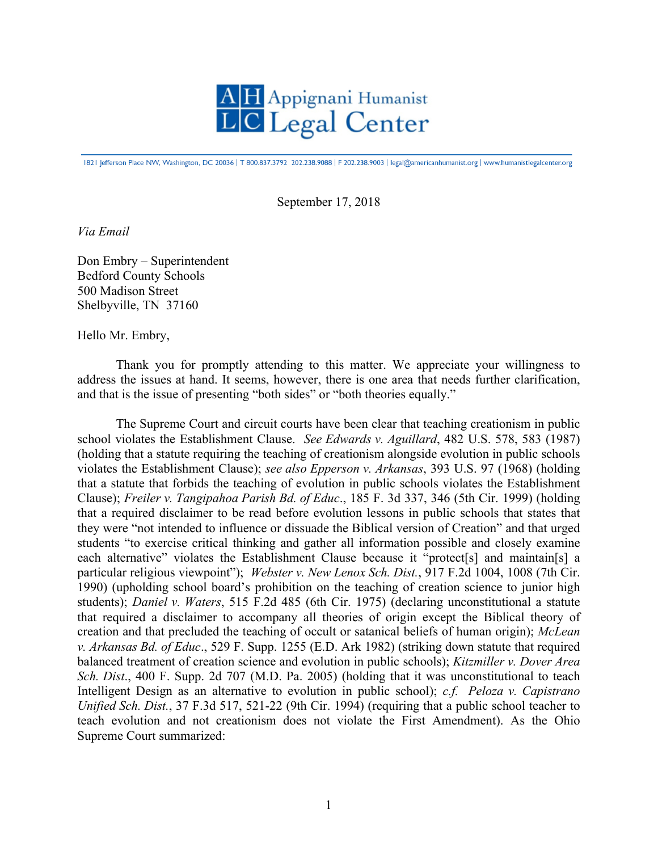

1821 Jefferson Place NW, Washington, DC 20036 | T 800.837.3792 202.238.9088 | F 202.238.9003 | legal@americanhumanist.org | www.humanistlegalcenter.org

September 17, 2018

*Via Email*

Don Embry – Superintendent Bedford County Schools 500 Madison Street Shelbyville, TN 37160

Hello Mr. Embry,

Thank you for promptly attending to this matter. We appreciate your willingness to address the issues at hand. It seems, however, there is one area that needs further clarification, and that is the issue of presenting "both sides" or "both theories equally."

The Supreme Court and circuit courts have been clear that teaching creationism in public school violates the Establishment Clause. *See Edwards v. Aguillard*, 482 U.S. 578, 583 (1987) (holding that a statute requiring the teaching of creationism alongside evolution in public schools violates the Establishment Clause); *see also Epperson v. Arkansas*, 393 U.S. 97 (1968) (holding that a statute that forbids the teaching of evolution in public schools violates the Establishment Clause); *Freiler v. Tangipahoa Parish Bd. of Educ*., 185 F. 3d 337, 346 (5th Cir. 1999) (holding that a required disclaimer to be read before evolution lessons in public schools that states that they were "not intended to influence or dissuade the Biblical version of Creation" and that urged students "to exercise critical thinking and gather all information possible and closely examine each alternative" violates the Establishment Clause because it "protect[s] and maintain[s] a particular religious viewpoint"); *Webster v. New Lenox Sch. Dist.*, 917 F.2d 1004, 1008 (7th Cir. 1990) (upholding school board's prohibition on the teaching of creation science to junior high students); *Daniel v. Waters*, 515 F.2d 485 (6th Cir. 1975) (declaring unconstitutional a statute that required a disclaimer to accompany all theories of origin except the Biblical theory of creation and that precluded the teaching of occult or satanical beliefs of human origin); *McLean v. Arkansas Bd. of Educ*., 529 F. Supp. 1255 (E.D. Ark 1982) (striking down statute that required balanced treatment of creation science and evolution in public schools); *Kitzmiller v. Dover Area Sch. Dist*., 400 F. Supp. 2d 707 (M.D. Pa. 2005) (holding that it was unconstitutional to teach Intelligent Design as an alternative to evolution in public school); *c.f. Peloza v. Capistrano Unified Sch. Dist.*, 37 F.3d 517, 521-22 (9th Cir. 1994) (requiring that a public school teacher to teach evolution and not creationism does not violate the First Amendment). As the Ohio Supreme Court summarized: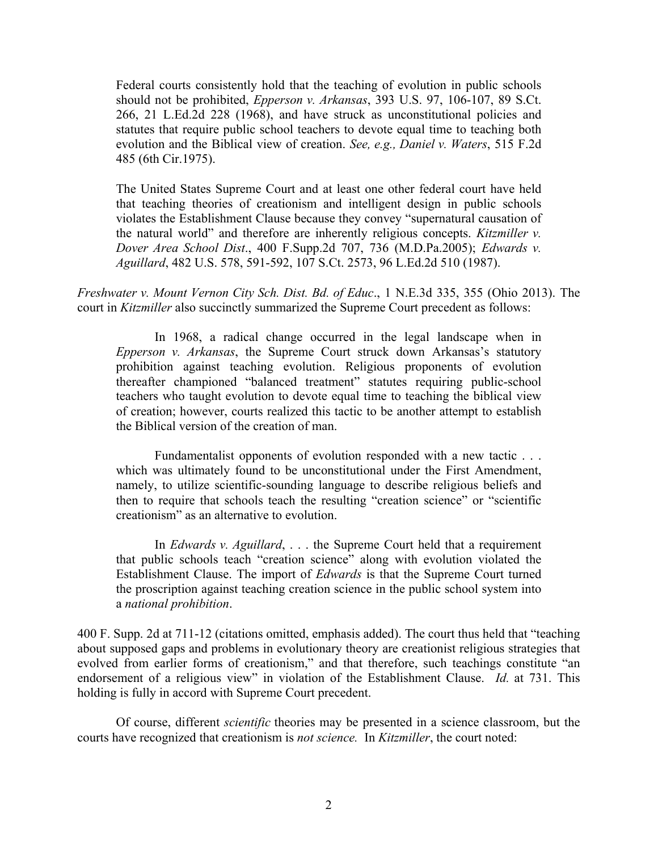Federal courts consistently hold that the teaching of evolution in public schools should not be prohibited, *Epperson v. Arkansas*, 393 U.S. 97, 106-107, 89 S.Ct. 266, 21 L.Ed.2d 228 (1968), and have struck as unconstitutional policies and statutes that require public school teachers to devote equal time to teaching both evolution and the Biblical view of creation. *See, e.g., Daniel v. Waters*, 515 F.2d 485 (6th Cir.1975).

The United States Supreme Court and at least one other federal court have held that teaching theories of creationism and intelligent design in public schools violates the Establishment Clause because they convey "supernatural causation of the natural world" and therefore are inherently religious concepts. *Kitzmiller v. Dover Area School Dist*., 400 F.Supp.2d 707, 736 (M.D.Pa.2005); *Edwards v. Aguillard*, 482 U.S. 578, 591-592, 107 S.Ct. 2573, 96 L.Ed.2d 510 (1987).

*Freshwater v. Mount Vernon City Sch. Dist. Bd. of Educ*., 1 N.E.3d 335, 355 (Ohio 2013). The court in *Kitzmiller* also succinctly summarized the Supreme Court precedent as follows:

In 1968, a radical change occurred in the legal landscape when in *Epperson v. Arkansas*, the Supreme Court struck down Arkansas's statutory prohibition against teaching evolution. Religious proponents of evolution thereafter championed "balanced treatment" statutes requiring public-school teachers who taught evolution to devote equal time to teaching the biblical view of creation; however, courts realized this tactic to be another attempt to establish the Biblical version of the creation of man.

Fundamentalist opponents of evolution responded with a new tactic . . . which was ultimately found to be unconstitutional under the First Amendment, namely, to utilize scientific-sounding language to describe religious beliefs and then to require that schools teach the resulting "creation science" or "scientific creationism" as an alternative to evolution.

In *Edwards v. Aguillard*, . . . the Supreme Court held that a requirement that public schools teach "creation science" along with evolution violated the Establishment Clause. The import of *Edwards* is that the Supreme Court turned the proscription against teaching creation science in the public school system into a *national prohibition*.

400 F. Supp. 2d at 711-12 (citations omitted, emphasis added). The court thus held that "teaching about supposed gaps and problems in evolutionary theory are creationist religious strategies that evolved from earlier forms of creationism," and that therefore, such teachings constitute "an endorsement of a religious view" in violation of the Establishment Clause. *Id.* at 731. This holding is fully in accord with Supreme Court precedent.

Of course, different *scientific* theories may be presented in a science classroom, but the courts have recognized that creationism is *not science.* In *Kitzmiller*, the court noted: